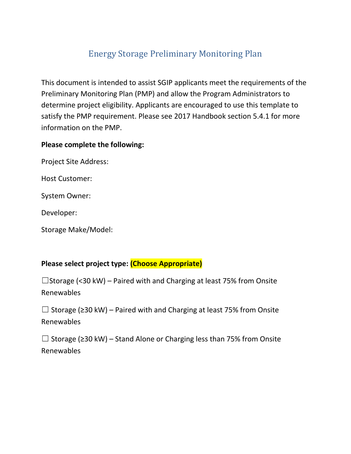# Energy Storage Preliminary Monitoring Plan

This document is intended to assist SGIP applicants meet the requirements of the Preliminary Monitoring Plan (PMP) and allow the Program Administrators to determine project eligibility. Applicants are encouraged to use this template to satisfy the PMP requirement. Please see 2017 Handbook section 5.4.1 for more information on the PMP.

#### **Please complete the following:**

Project Site Address:

Host Customer:

System Owner:

Developer:

Storage Make/Model:

### **Please select project type: (Choose Appropriate)**

 $\square$ Storage (<30 kW) – Paired with and Charging at least 75% from Onsite Renewables

☐ Storage (≥30 kW) – Paired with and Charging at least 75% from Onsite Renewables

☐ Storage (≥30 kW) – Stand Alone or Charging less than 75% from Onsite Renewables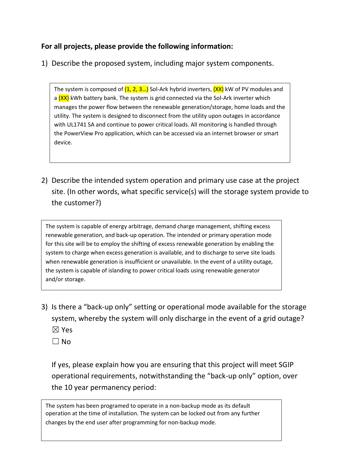### **For all projects, please provide the following information:**

1) Describe the proposed system, including major system components.

The system is composed of  $(1, 2, 3...)$  Sol-Ark hybrid inverters,  $(XX)$  kW of PV modules and a  $(XX)$  kWh battery bank. The system is grid connected via the Sol-Ark inverter which manages the power flow between the renewable generation/storage, home loads and the utility. The system is designed to disconnect from the utility upon outages in accordance with UL1741 SA and continue to power critical loads. All monitoring is handled through the PowerView Pro application, which can be accessed via an internet browser or smart device.

2) Describe the intended system operation and primary use case at the project site. (In other words, what specific service(s) will the storage system provide to the customer?)

The system is capable of energy arbitrage, demand charge management, shifting excess renewable generation, and back‐up operation. The intended or primary operation mode for this site will be to employ the shifting of excess renewable generation by enabling the system to charge when excess generation is available, and to discharge to serve site loads when renewable generation is insufficient or unavailable. In the event of a utility outage, the system is capable of islanding to power critical loads using renewable generator and/or storage.

- 3) Is there a "back-up only" setting or operational mode available for the storage system, whereby the system will only discharge in the event of a grid outage? ☒ Yes
	- $\Box$  No

If yes, please explain how you are ensuring that this project will meet SGIP operational requirements, notwithstanding the "back-up only" option, over the 10 year permanency period:

The system has been programed to operate in a non‐backup mode as its default operation at the time of installation. The system can be locked out from any further changes by the end user after programming for non-backup mode.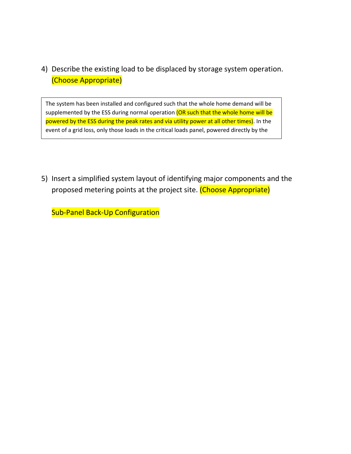## 4) Describe the existing load to be displaced by storage system operation. (Choose Appropriate)

The system has been installed and configured such that the whole home demand will be supplemented by the ESS during normal operation (OR such that the whole home will be powered by the ESS during the peak rates and via utility power at all other times). In the event of a grid loss, only those loads in the critical loads panel, powered directly by the

5) Insert a simplified system layout of identifying major components and the proposed metering points at the project site. (Choose Appropriate)

Sub-Panel Back-Up Configuration

"Load" breaker of the inverter will be powered.<br>"Load" breaker will be powered.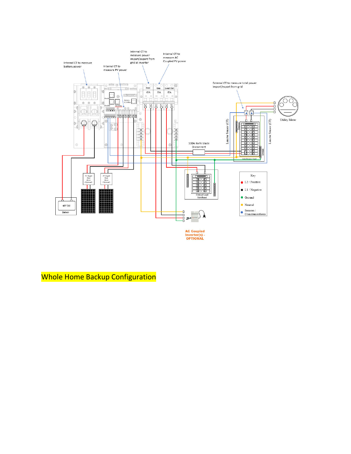

**AC Coupled<br>Inverter(s) -<br>OPTIONAL** 

Whole Home Backup Configuration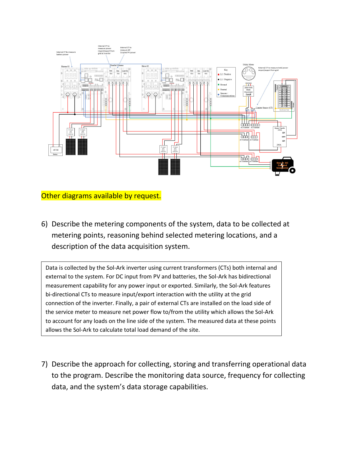

Other diagrams available by request.

6) Describe the metering components of the system, data to be collected at metering points, reasoning behind selected metering locations, and a description of the data acquisition system.

Data is collected by the Sol-Ark inverter using current transformers (CTs) both internal and external to the system. For DC input from PV and batteries, the Sol-Ark has bidirectional measurement capability for any power input or exported. Similarly, the Sol-Ark features bi-directional CTs to measure input/export interaction with the utility at the grid connection of the inverter. Finally, a pair of external CTs are installed on the load side of the service meter to measure net power flow to/from the utility which allows the Sol-Ark to account for any loads on the line side of the system. The measured data at these points allows the Sol-Ark to calculate total load demand of the site.

7) Describe the approach for collecting, storing and transferring operational data to the program. Describe the monitoring data source, frequency for collecting data, and the system's data storage capabilities.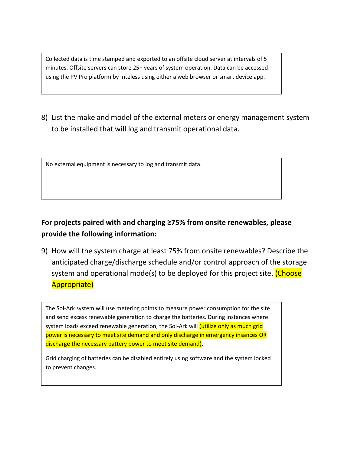Collected data is time stamped and exported to an offsite cloud server at intervals of 5 minutes. Offsite servers can store 25+ years of system operation. Data can be accessed using the PV Pro platform by Inteless using either a web browser or smart device app.

8) List the make and model of the external meters or energy management system to be installed that will log and transmit operational data.

No external equipment is necessary to log and transmit data.

## **For projects paired with and charging ≥75% from onsite renewables, please provide the following information:**

9) How will the system charge at least 75% from onsite renewables? Describe the anticipated charge/discharge schedule and/or control approach of the storage system and operational mode(s) to be deployed for this project site. (Choose Appropriate)

The Sol-Ark system will use metering points to measure power consumption for the site and send excess renewable generation to charge the batteries. During instances where system loads exceed renewable generation, the Sol-Ark will *(utilize only as much grid* power is necessary to meet site demand and only discharge in emergency insances OR discharge the necessary battery power to meet site demand).

Grid charging of batteries can be disabled entirely using software and the system locked to prevent changes.